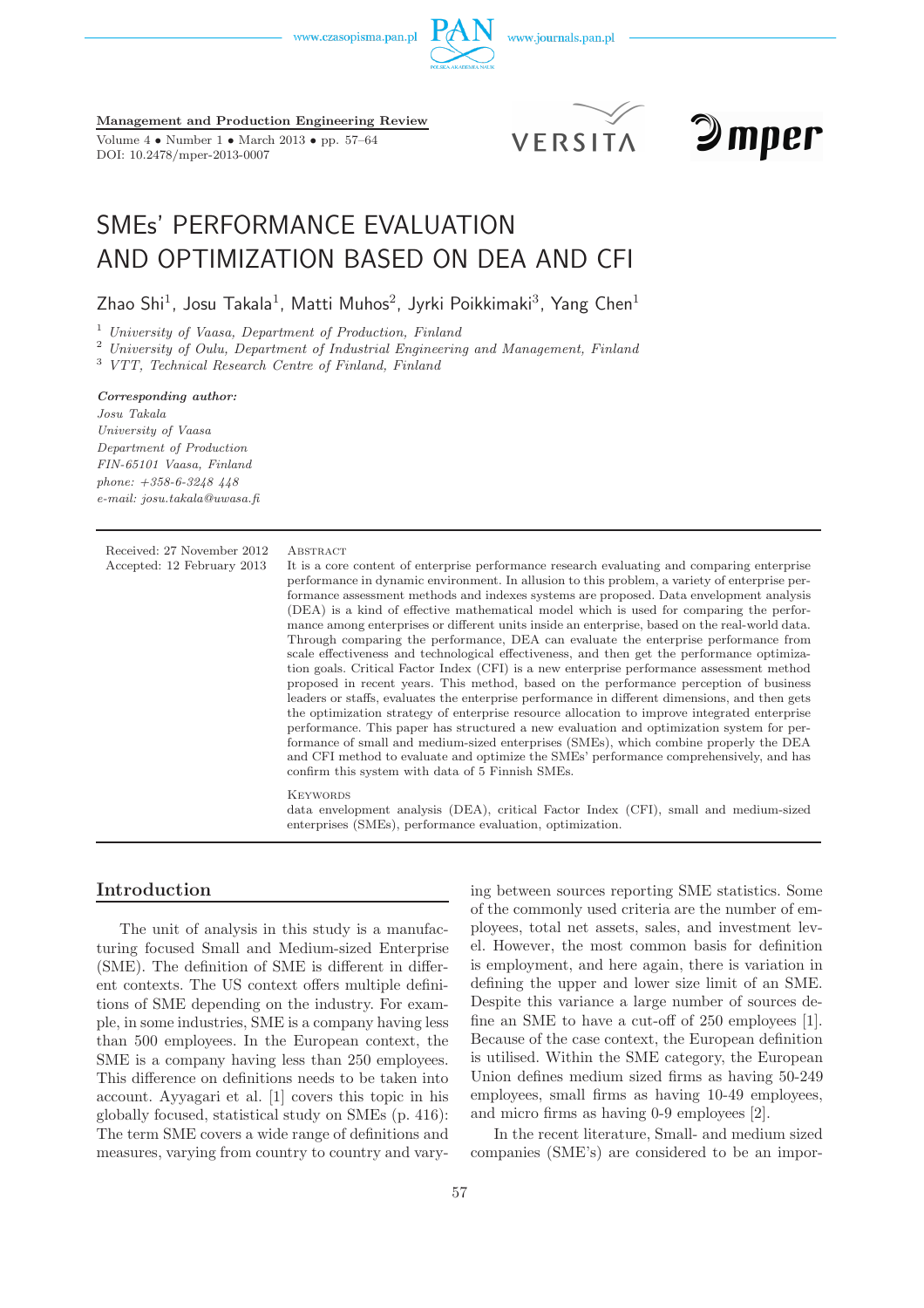www.czasopisma.pan.pl





**Management and Production Engineering Review**

Volume 4 • Number 1 • March 2013 • pp. 57–64 DOI: 10.2478/mper-2013-0007





# SMEs' PERFORMANCE EVALUATION AND OPTIMIZATION BASED ON DEA AND CFI

Zhao Shi $^1$ , Josu Takala $^1$ , Matti Muhos $^2$ , Jyrki Poikkimaki $^3$ , Yang Chen $^1$ 

<sup>1</sup> *University of Vaasa, Department of Production, Finland*

<sup>2</sup> *University of Oulu, Department of Industrial Engineering and Management, Finland*

<sup>3</sup> *VTT, Technical Research Centre of Finland, Finland*

*Corresponding author:*

*Josu Takala University of Vaasa Department of Production FIN-65101 Vaasa, Finland phone: +358-6-3248 448 e-mail: josu.takala@uwasa.fi*

Received: 27 November 2012 ABSTRACT

Accepted: 12 February 2013 It is a core content of enterprise performance research evaluating and comparing enterprise performance in dynamic environment. In allusion to this problem, a variety of enterprise performance assessment methods and indexes systems are proposed. Data envelopment analysis (DEA) is a kind of effective mathematical model which is used for comparing the performance among enterprises or different units inside an enterprise, based on the real-world data. Through comparing the performance, DEA can evaluate the enterprise performance from scale effectiveness and technological effectiveness, and then get the performance optimization goals. Critical Factor Index (CFI) is a new enterprise performance assessment method proposed in recent years. This method, based on the performance perception of business leaders or staffs, evaluates the enterprise performance in different dimensions, and then gets the optimization strategy of enterprise resource allocation to improve integrated enterprise performance. This paper has structured a new evaluation and optimization system for performance of small and medium-sized enterprises (SMEs), which combine properly the DEA and CFI method to evaluate and optimize the SMEs' performance comprehensively, and has confirm this system with data of 5 Finnish SMEs.

**KEYWORDS** 

data envelopment analysis (DEA), critical Factor Index (CFI), small and medium-sized enterprises (SMEs), performance evaluation, optimization.

## **Introduction**

The unit of analysis in this study is a manufacturing focused Small and Medium-sized Enterprise (SME). The definition of SME is different in different contexts. The US context offers multiple definitions of SME depending on the industry. For example, in some industries, SME is a company having less than 500 employees. In the European context, the SME is a company having less than 250 employees. This difference on definitions needs to be taken into account. Ayyagari et al. [1] covers this topic in his globally focused, statistical study on SMEs (p. 416): The term SME covers a wide range of definitions and measures, varying from country to country and varying between sources reporting SME statistics. Some of the commonly used criteria are the number of employees, total net assets, sales, and investment level. However, the most common basis for definition is employment, and here again, there is variation in defining the upper and lower size limit of an SME. Despite this variance a large number of sources define an SME to have a cut-off of 250 employees [1]. Because of the case context, the European definition is utilised. Within the SME category, the European Union defines medium sized firms as having 50-249 employees, small firms as having 10-49 employees, and micro firms as having 0-9 employees [2].

In the recent literature, Small- and medium sized companies (SME's) are considered to be an impor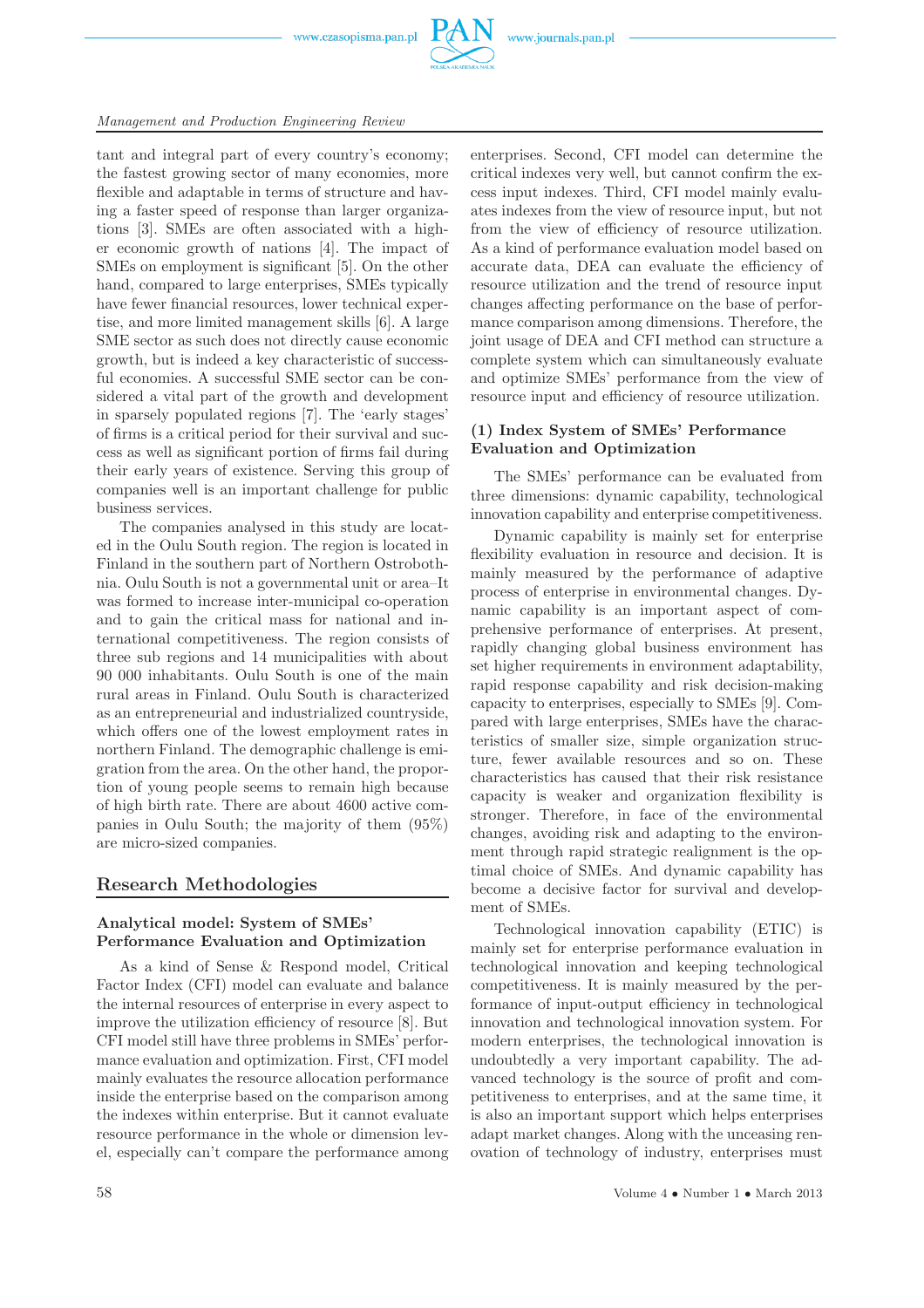www.czasopisma.pan.pl



## *Management and Production Engineering Review*

tant and integral part of every country's economy; the fastest growing sector of many economies, more flexible and adaptable in terms of structure and having a faster speed of response than larger organizations [3]. SMEs are often associated with a higher economic growth of nations [4]. The impact of SMEs on employment is significant [5]. On the other hand, compared to large enterprises, SMEs typically have fewer financial resources, lower technical expertise, and more limited management skills [6]. A large SME sector as such does not directly cause economic growth, but is indeed a key characteristic of successful economies. A successful SME sector can be considered a vital part of the growth and development in sparsely populated regions [7]. The 'early stages' of firms is a critical period for their survival and success as well as significant portion of firms fail during their early years of existence. Serving this group of companies well is an important challenge for public business services.

The companies analysed in this study are located in the Oulu South region. The region is located in Finland in the southern part of Northern Ostrobothnia. Oulu South is not a governmental unit or area–It was formed to increase inter-municipal co-operation and to gain the critical mass for national and international competitiveness. The region consists of three sub regions and 14 municipalities with about 90 000 inhabitants. Oulu South is one of the main rural areas in Finland. Oulu South is characterized as an entrepreneurial and industrialized countryside, which offers one of the lowest employment rates in northern Finland. The demographic challenge is emigration from the area. On the other hand, the proportion of young people seems to remain high because of high birth rate. There are about 4600 active companies in Oulu South; the majority of them (95%) are micro-sized companies.

## **Research Methodologies**

## **Analytical model: System of SMEs' Performance Evaluation and Optimization**

As a kind of Sense & Respond model, Critical Factor Index (CFI) model can evaluate and balance the internal resources of enterprise in every aspect to improve the utilization efficiency of resource [8]. But CFI model still have three problems in SMEs' performance evaluation and optimization. First, CFI model mainly evaluates the resource allocation performance inside the enterprise based on the comparison among the indexes within enterprise. But it cannot evaluate resource performance in the whole or dimension level, especially can't compare the performance among enterprises. Second, CFI model can determine the critical indexes very well, but cannot confirm the excess input indexes. Third, CFI model mainly evaluates indexes from the view of resource input, but not from the view of efficiency of resource utilization. As a kind of performance evaluation model based on accurate data, DEA can evaluate the efficiency of resource utilization and the trend of resource input changes affecting performance on the base of performance comparison among dimensions. Therefore, the joint usage of DEA and CFI method can structure a complete system which can simultaneously evaluate and optimize SMEs' performance from the view of resource input and efficiency of resource utilization.

## **(1) Index System of SMEs' Performance Evaluation and Optimization**

The SMEs' performance can be evaluated from three dimensions: dynamic capability, technological innovation capability and enterprise competitiveness.

Dynamic capability is mainly set for enterprise flexibility evaluation in resource and decision. It is mainly measured by the performance of adaptive process of enterprise in environmental changes. Dynamic capability is an important aspect of comprehensive performance of enterprises. At present, rapidly changing global business environment has set higher requirements in environment adaptability, rapid response capability and risk decision-making capacity to enterprises, especially to SMEs [9]. Compared with large enterprises, SMEs have the characteristics of smaller size, simple organization structure, fewer available resources and so on. These characteristics has caused that their risk resistance capacity is weaker and organization flexibility is stronger. Therefore, in face of the environmental changes, avoiding risk and adapting to the environment through rapid strategic realignment is the optimal choice of SMEs. And dynamic capability has become a decisive factor for survival and development of SMEs.

Technological innovation capability (ETIC) is mainly set for enterprise performance evaluation in technological innovation and keeping technological competitiveness. It is mainly measured by the performance of input-output efficiency in technological innovation and technological innovation system. For modern enterprises, the technological innovation is undoubtedly a very important capability. The advanced technology is the source of profit and competitiveness to enterprises, and at the same time, it is also an important support which helps enterprises adapt market changes. Along with the unceasing renovation of technology of industry, enterprises must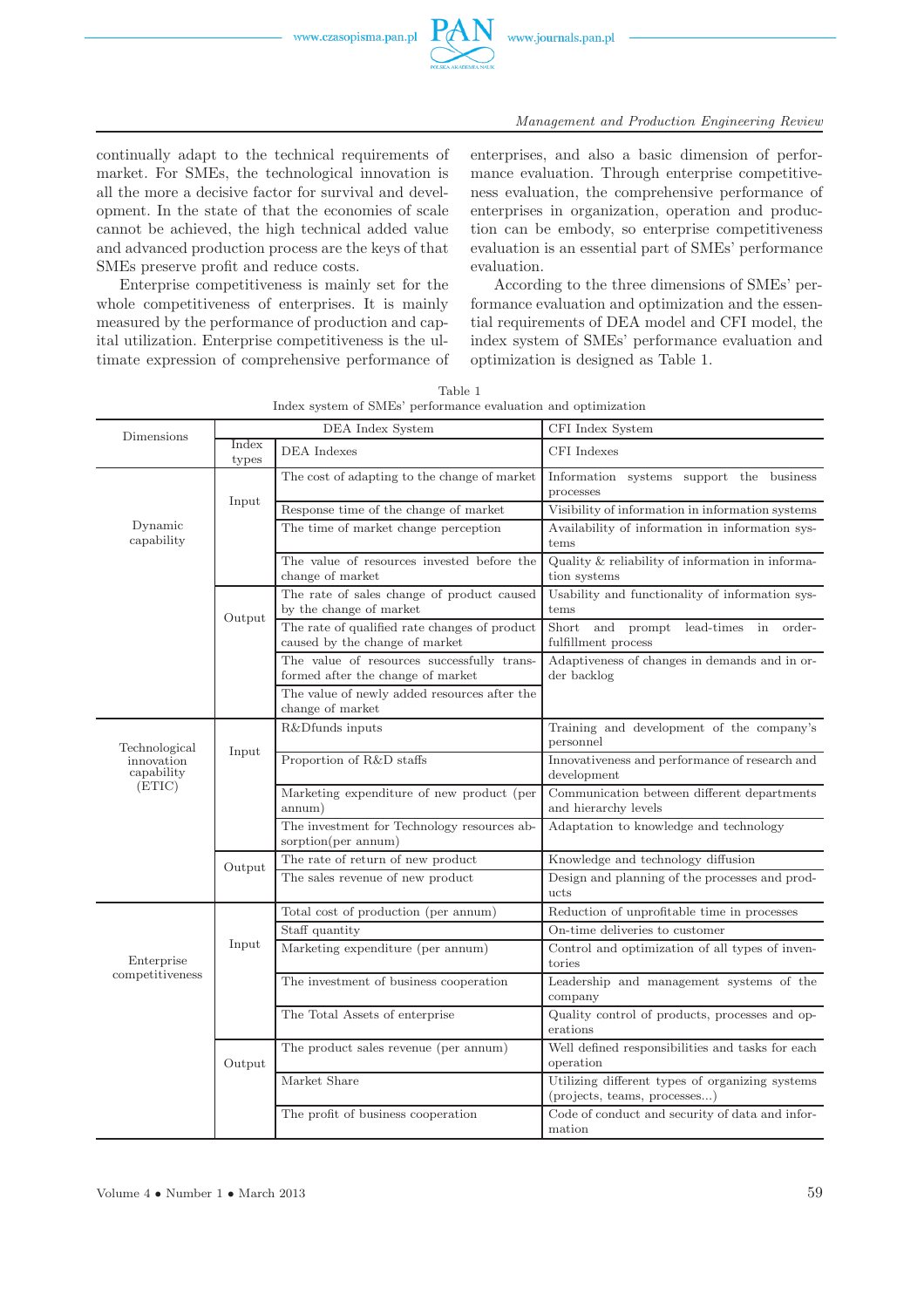#### *Management and Production Engineering Review*

continually adapt to the technical requirements of market. For SMEs, the technological innovation is all the more a decisive factor for survival and development. In the state of that the economies of scale cannot be achieved, the high technical added value and advanced production process are the keys of that SMEs preserve profit and reduce costs.

Enterprise competitiveness is mainly set for the whole competitiveness of enterprises. It is mainly measured by the performance of production and capital utilization. Enterprise competitiveness is the ultimate expression of comprehensive performance of enterprises, and also a basic dimension of performance evaluation. Through enterprise competitiveness evaluation, the comprehensive performance of enterprises in organization, operation and production can be embody, so enterprise competitiveness evaluation is an essential part of SMEs' performance evaluation.

According to the three dimensions of SMEs' performance evaluation and optimization and the essential requirements of DEA model and CFI model, the index system of SMEs' performance evaluation and optimization is designed as Table 1.

|                                                     |        | mack system of sivils performance evaluation and optimizati                     |                                                                                 |  |  |  |
|-----------------------------------------------------|--------|---------------------------------------------------------------------------------|---------------------------------------------------------------------------------|--|--|--|
| Dimensions                                          | Index  | DEA Index System                                                                | CFI Index System                                                                |  |  |  |
|                                                     | types  | <b>DEA</b> Indexes                                                              | CFI Indexes                                                                     |  |  |  |
|                                                     | Input  | The cost of adapting to the change of market                                    | Information systems support the business<br>processes                           |  |  |  |
|                                                     |        | Response time of the change of market                                           | Visibility of information in information systems                                |  |  |  |
| Dynamic<br>capability                               |        | The time of market change perception                                            | Availability of information in information sys-<br>tems                         |  |  |  |
|                                                     |        | The value of resources invested before the<br>change of market                  | Quality & reliability of information in informa-<br>tion systems                |  |  |  |
|                                                     | Output | The rate of sales change of product caused<br>by the change of market           | Usability and functionality of information sys-<br>tems                         |  |  |  |
|                                                     |        | The rate of qualified rate changes of product<br>caused by the change of market | Short and prompt lead-times in order-<br>fulfillment process                    |  |  |  |
|                                                     |        | The value of resources successfully trans-<br>formed after the change of market | Adaptiveness of changes in demands and in or-<br>der backlog                    |  |  |  |
|                                                     |        | The value of newly added resources after the<br>change of market                |                                                                                 |  |  |  |
| Technological<br>innovation<br>capability<br>(ETIC) | Input  | R&Dfunds inputs                                                                 | Training and development of the company's<br>personnel                          |  |  |  |
|                                                     |        | Proportion of R&D staffs                                                        | Innovativeness and performance of research and<br>development                   |  |  |  |
|                                                     |        | Marketing expenditure of new product (per<br>annum)                             | Communication between different departments<br>and hierarchy levels             |  |  |  |
|                                                     |        | The investment for Technology resources ab-<br>sorption(per annum)              | Adaptation to knowledge and technology                                          |  |  |  |
|                                                     | Output | The rate of return of new product                                               | Knowledge and technology diffusion                                              |  |  |  |
|                                                     |        | The sales revenue of new product                                                | Design and planning of the processes and prod-<br>ucts                          |  |  |  |
|                                                     | Input  | Total cost of production (per annum)                                            | Reduction of unprofitable time in processes                                     |  |  |  |
| Enterprise<br>competitiveness                       |        | Staff quantity                                                                  | On-time deliveries to customer                                                  |  |  |  |
|                                                     |        | Marketing expenditure (per annum)                                               | Control and optimization of all types of inven-<br>tories                       |  |  |  |
|                                                     |        | The investment of business cooperation                                          | Leadership and management systems of the<br>company                             |  |  |  |
|                                                     |        | The Total Assets of enterprise                                                  | Quality control of products, processes and op-<br>erations                      |  |  |  |
|                                                     | Output | The product sales revenue (per annum)                                           | Well defined responsibilities and tasks for each<br>operation                   |  |  |  |
|                                                     |        | Market Share                                                                    | Utilizing different types of organizing systems<br>(projects, teams, processes) |  |  |  |
|                                                     |        | The profit of business cooperation                                              | Code of conduct and security of data and infor-<br>mation                       |  |  |  |

Table 1 Index system of SMEs' performance evaluation and optimization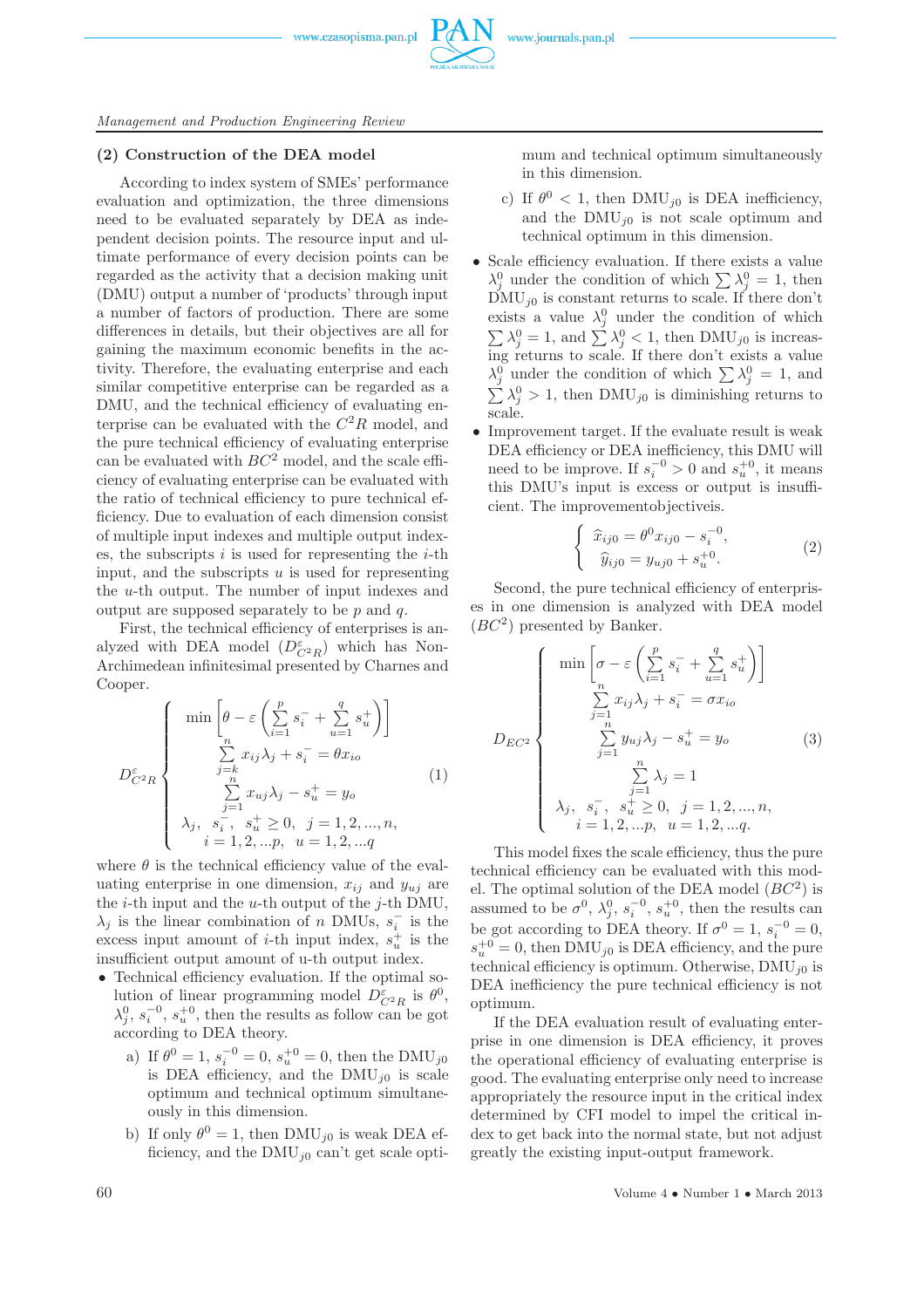

#### **(2) Construction of the DEA model**

According to index system of SMEs' performance evaluation and optimization, the three dimensions need to be evaluated separately by DEA as independent decision points. The resource input and ultimate performance of every decision points can be regarded as the activity that a decision making unit (DMU) output a number of 'products' through input a number of factors of production. There are some differences in details, but their objectives are all for gaining the maximum economic benefits in the activity. Therefore, the evaluating enterprise and each similar competitive enterprise can be regarded as a DMU, and the technical efficiency of evaluating enterprise can be evaluated with the  $C^2R$  model, and the pure technical efficiency of evaluating enterprise can be evaluated with  $BC^2$  model, and the scale efficiency of evaluating enterprise can be evaluated with the ratio of technical efficiency to pure technical efficiency. Due to evaluation of each dimension consist of multiple input indexes and multiple output indexes, the subscripts  $i$  is used for representing the  $i$ -th input, and the subscripts  $u$  is used for representing the u-th output. The number of input indexes and output are supposed separately to be  $p$  and  $q$ .

First, the technical efficiency of enterprises is analyzed with DEA model  $(D_{C^2R}^{\varepsilon})$  which has Non-Archimedean infinitesimal presented by Charnes and Cooper.

$$
D_{C^2R}^{\varepsilon} \left\{\n\begin{array}{c}\n\min\left[\theta - \varepsilon \left(\sum_{i=1}^p s_i^- + \sum_{u=1}^q s_u^+\right)\right] \\
\sum_{j=k}^n x_{ij}\lambda_j + s_i^- = \theta x_{io} \\
\sum_{j=k}^n x_{uj}\lambda_j - s_u^+ = y_o \\
\lambda_j, \quad s_i^-, \quad s_u^+ \ge 0, \quad j = 1, 2, ..., n, \\
i = 1, 2, ..., p, \quad u = 1, 2, ..., q\n\end{array}\n\right.\n\tag{1}
$$

where  $\theta$  is the technical efficiency value of the evaluating enterprise in one dimension,  $x_{ij}$  and  $y_{ui}$  are the *i*-th input and the *u*-th output of the *j*-th DMU,  $\lambda_j$  is the linear combination of n DMUs,  $s_i^ \frac{1}{i}$  is the excess input amount of *i*-th input index,  $s_u^+$  is the insufficient output amount of u-th output index.

- Technical efficiency evaluation. If the optimal solution of linear programming model  $D_{C^2R}^{\varepsilon}$  is  $\theta^0$ ,  $\lambda_j^0$ ,  $s_i^{-0}$ ,  $s_u^{+0}$ , then the results as follow can be got according to DEA theory.
	- a) If  $\theta^0 = 1$ ,  $s_i^{-0} = 0$ ,  $s_u^{+0} = 0$ , then the DMU<sub>j0</sub> is DEA efficiency, and the  $\text{DMU}_{j0}$  is scale optimum and technical optimum simultaneously in this dimension.
	- b) If only  $\theta^0 = 1$ , then DMU<sub>j0</sub> is weak DEA efficiency, and the  $\text{DMU}_{j0}$  can't get scale opti-

mum and technical optimum simultaneously in this dimension.

- c) If  $\theta^0$  < 1, then DMU<sub>j0</sub> is DEA inefficiency, and the  $\text{DMU}_{j0}$  is not scale optimum and technical optimum in this dimension.
- Scale efficiency evaluation. If there exists a value  $\lambda_j^0$  under the condition of which  $\sum_i \lambda_j^0 = 1$ , then  $\text{DMU}_{i0}$  is constant returns to scale. If there don't exists a value  $\lambda_j^0$  under the condition of which  $\sum \lambda_j^0 = 1$ , and  $\sum \lambda_j^0 < 1$ , then DMU<sub>j0</sub> is increasing returns to scale. If there don't exists a value  $\lambda_j^0$  under the condition of which  $\sum_i \lambda_j^0 = 1$ , and  $\sum_{j}^{\infty} \lambda_j^0 > 1$ , then DMU<sub>j0</sub> is diminishing returns to scale.
- Improvement target. If the evaluate result is weak DEA efficiency or DEA inefficiency, this DMU will need to be improve. If  $s_i^{-0} > 0$  and  $s_u^{+0}$ , it means this DMU's input is excess or output is insufficient. The improvementobjectiveis.

$$
\begin{cases}\n\hat{x}_{ij0} = \theta^0 x_{ij0} - s_i^{-0}, \n\hat{y}_{ij0} = y_{uj0} + s_u^{+0}.\n\end{cases}
$$
\n(2)

Second, the pure technical efficiency of enterprises in one dimension is analyzed with DEA model  $(BC<sup>2</sup>)$  presented by Banker.

$$
D_{EC^2}\begin{cases}\n\min\left[\sigma-\varepsilon\left(\sum_{i=1}^p s_i^- + \sum_{u=1}^q s_u^+\right)\right] \\
\sum_{j=1}^n x_{ij}\lambda_j + s_i^- = \sigma x_{io} \\
\sum_{j=1}^n y_{uj}\lambda_j - s_u^+ = y_o\n\end{cases} \tag{3}
$$
\n
$$
\sum_{j=1}^n \lambda_j = 1
$$
\n
$$
\lambda_j, s_i^-, s_u^+ \ge 0, j = 1, 2, ..., n,
$$
\n
$$
i = 1, 2, ..., p, u = 1, 2, ..., q.
$$

This model fixes the scale efficiency, thus the pure technical efficiency can be evaluated with this model. The optimal solution of the DEA model  $(BC<sup>2</sup>)$  is assumed to be  $\sigma^0$ ,  $\lambda_j^0$ ,  $s_i^{-0}$ ,  $s_u^{+0}$ , then the results can be got according to DEA theory. If  $\sigma^0 = 1$ ,  $s_i^{-0} = 0$ ,  $s_u^{+0} = 0$ , then DMU<sub>j0</sub> is DEA efficiency, and the pure technical efficiency is optimum. Otherwise,  $\text{DMU}_{i0}$  is DEA inefficiency the pure technical efficiency is not optimum.

If the DEA evaluation result of evaluating enterprise in one dimension is DEA efficiency, it proves the operational efficiency of evaluating enterprise is good. The evaluating enterprise only need to increase appropriately the resource input in the critical index determined by CFI model to impel the critical index to get back into the normal state, but not adjust greatly the existing input-output framework.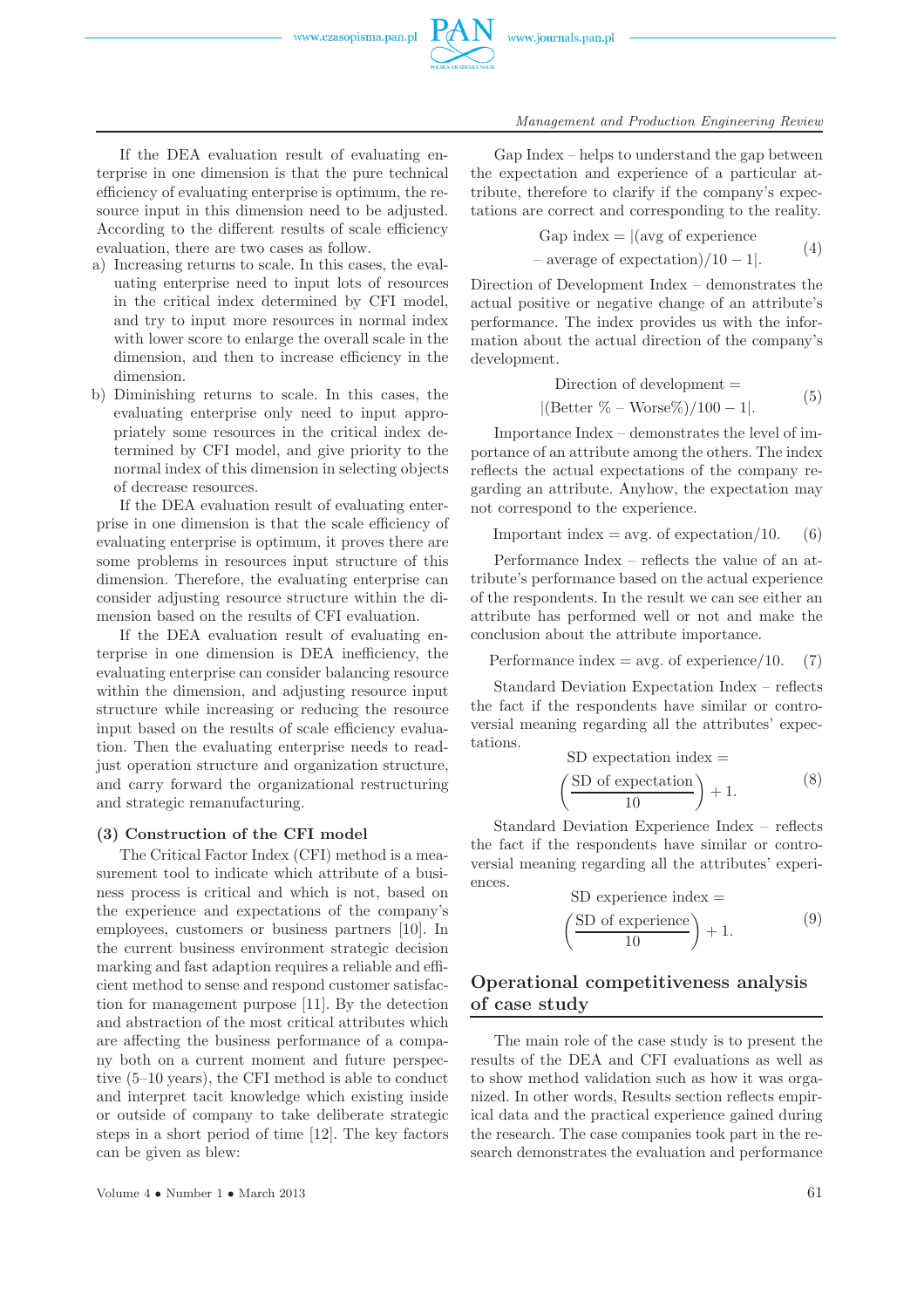

#### *Management and Production Engineering Review*

If the DEA evaluation result of evaluating enterprise in one dimension is that the pure technical efficiency of evaluating enterprise is optimum, the resource input in this dimension need to be adjusted. According to the different results of scale efficiency evaluation, there are two cases as follow.

- a) Increasing returns to scale. In this cases, the evaluating enterprise need to input lots of resources in the critical index determined by CFI model, and try to input more resources in normal index with lower score to enlarge the overall scale in the dimension, and then to increase efficiency in the dimension.
- b) Diminishing returns to scale. In this cases, the evaluating enterprise only need to input appropriately some resources in the critical index determined by CFI model, and give priority to the normal index of this dimension in selecting objects of decrease resources.

If the DEA evaluation result of evaluating enterprise in one dimension is that the scale efficiency of evaluating enterprise is optimum, it proves there are some problems in resources input structure of this dimension. Therefore, the evaluating enterprise can consider adjusting resource structure within the dimension based on the results of CFI evaluation.

If the DEA evaluation result of evaluating enterprise in one dimension is DEA inefficiency, the evaluating enterprise can consider balancing resource within the dimension, and adjusting resource input structure while increasing or reducing the resource input based on the results of scale efficiency evaluation. Then the evaluating enterprise needs to readjust operation structure and organization structure, and carry forward the organizational restructuring and strategic remanufacturing.

#### **(3) Construction of the CFI model**

The Critical Factor Index (CFI) method is a measurement tool to indicate which attribute of a business process is critical and which is not, based on the experience and expectations of the company's employees, customers or business partners [10]. In the current business environment strategic decision marking and fast adaption requires a reliable and efficient method to sense and respond customer satisfaction for management purpose [11]. By the detection and abstraction of the most critical attributes which are affecting the business performance of a company both on a current moment and future perspective (5–10 years), the CFI method is able to conduct and interpret tacit knowledge which existing inside or outside of company to take deliberate strategic steps in a short period of time [12]. The key factors can be given as blew:

Gap Index – helps to understand the gap between the expectation and experience of a particular attribute, therefore to clarify if the company's expectations are correct and corresponding to the reality.

Gap index = 
$$
|(avg \text{ of experience}\)
$$
  
- average of expectation)/10 - 1|. (4)

Direction of Development Index – demonstrates the actual positive or negative change of an attribute's performance. The index provides us with the information about the actual direction of the company's development.

Direction of development = 
$$
|(Better % - Worse %)/100 - 1|.
$$
 (5)

Importance Index – demonstrates the level of importance of an attribute among the others. The index reflects the actual expectations of the company regarding an attribute. Anyhow, the expectation may not correspond to the experience.

Important index = avg. of expectation/10. 
$$
(6)
$$

Performance Index – reflects the value of an attribute's performance based on the actual experience of the respondents. In the result we can see either an attribute has performed well or not and make the conclusion about the attribute importance.

Performance index = avg. of experience/10.  $(7)$ 

Standard Deviation Expectation Index – reflects the fact if the respondents have similar or controversial meaning regarding all the attributes' expectations. SD expectation index

$$
\left(\frac{\text{SD of expectation}}{10}\right) + 1. \tag{8}
$$

Standard Deviation Experience Index – reflects the fact if the respondents have similar or controversial meaning regarding all the attributes' experiences.

SD experience index =  
\n
$$
\left(\frac{\text{SD of experience}}{10}\right) + 1.
$$
\n(9)

## **Operational competitiveness analysis of case study**

The main role of the case study is to present the results of the DEA and CFI evaluations as well as to show method validation such as how it was organized. In other words, Results section reflects empirical data and the practical experience gained during the research. The case companies took part in the research demonstrates the evaluation and performance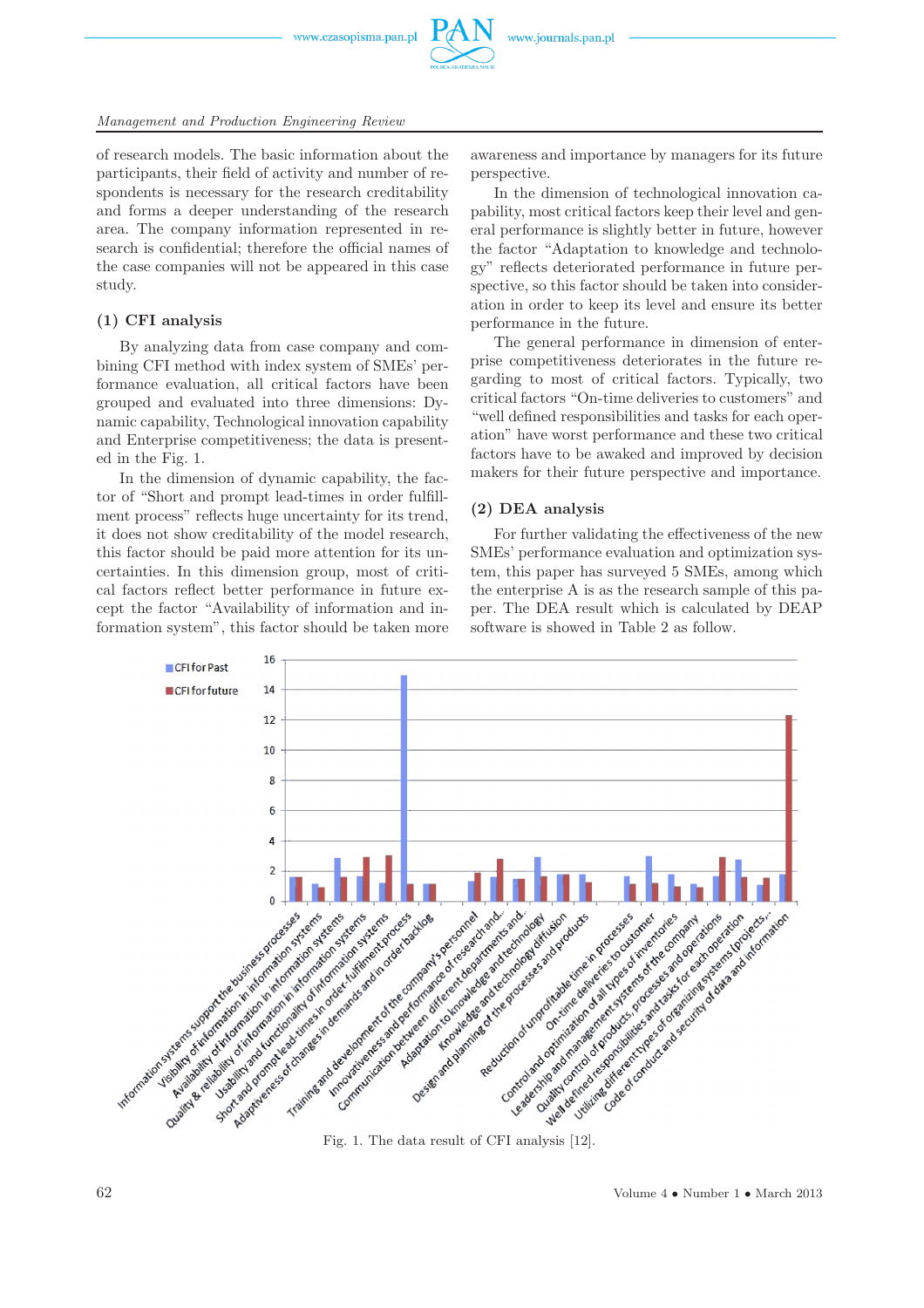

of research models. The basic information about the participants, their field of activity and number of respondents is necessary for the research creditability and forms a deeper understanding of the research area. The company information represented in research is confidential; therefore the official names of the case companies will not be appeared in this case study.

## **(1) CFI analysis**

By analyzing data from case company and combining CFI method with index system of SMEs' performance evaluation, all critical factors have been grouped and evaluated into three dimensions: Dynamic capability, Technological innovation capability and Enterprise competitiveness; the data is presented in the Fig. 1.

In the dimension of dynamic capability, the factor of "Short and prompt lead-times in order fulfillment process" reflects huge uncertainty for its trend, it does not show creditability of the model research, this factor should be paid more attention for its uncertainties. In this dimension group, most of critical factors reflect better performance in future except the factor "Availability of information and information system", this factor should be taken more awareness and importance by managers for its future perspective.

In the dimension of technological innovation capability, most critical factors keep their level and general performance is slightly better in future, however the factor "Adaptation to knowledge and technology" reflects deteriorated performance in future perspective, so this factor should be taken into consideration in order to keep its level and ensure its better performance in the future.

The general performance in dimension of enterprise competitiveness deteriorates in the future regarding to most of critical factors. Typically, two critical factors "On-time deliveries to customers" and "well defined responsibilities and tasks for each operation" have worst performance and these two critical factors have to be awaked and improved by decision makers for their future perspective and importance.

#### **(2) DEA analysis**

For further validating the effectiveness of the new SMEs' performance evaluation and optimization system, this paper has surveyed 5 SMEs, among which the enterprise A is as the research sample of this paper. The DEA result which is calculated by DEAP software is showed in Table 2 as follow.

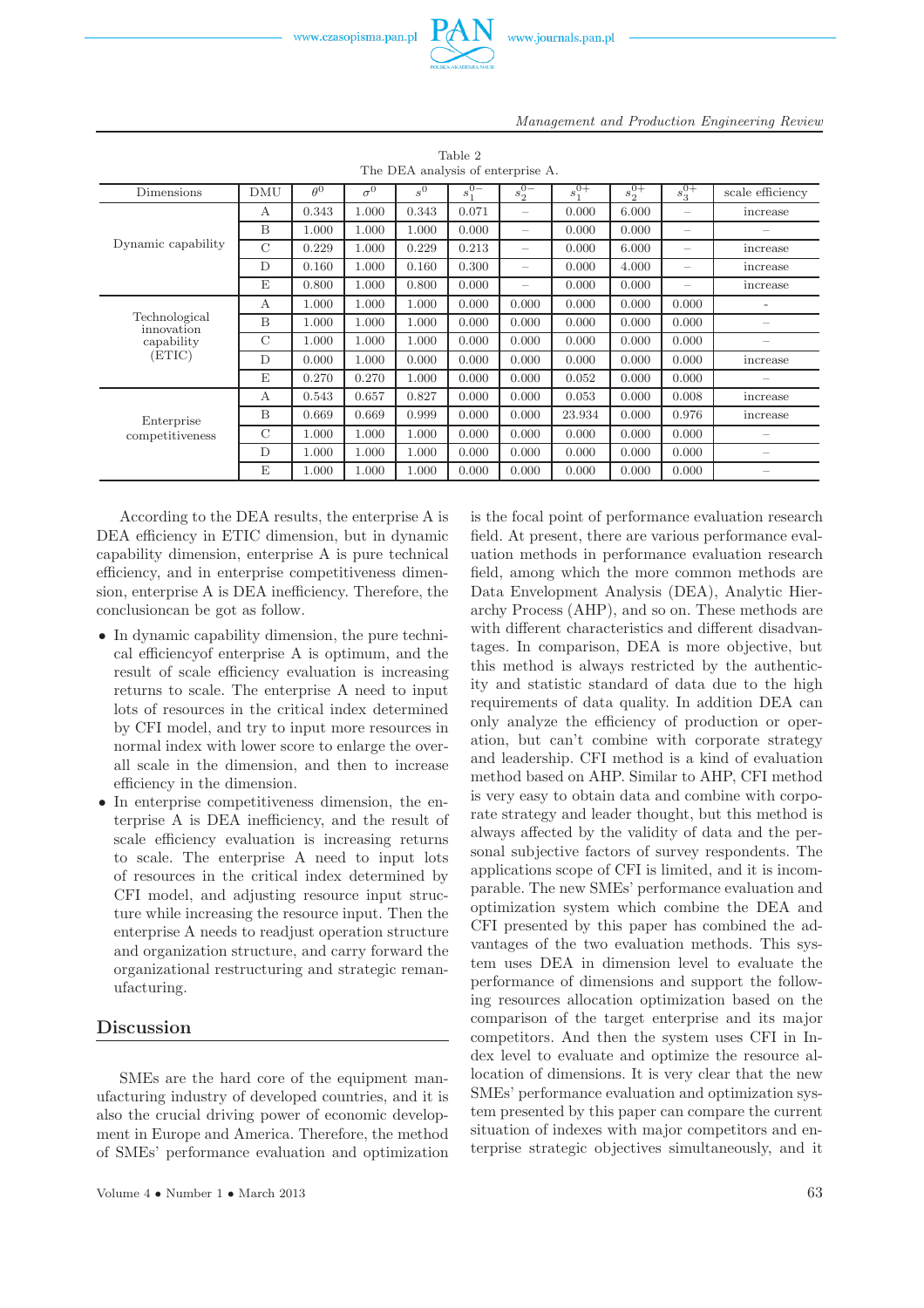*Management and Production Engineering Review*

| The DEA analysis of enterprise A.                   |               |            |            |       |         |                          |            |                       |                   |                  |  |
|-----------------------------------------------------|---------------|------------|------------|-------|---------|--------------------------|------------|-----------------------|-------------------|------------------|--|
| Dimensions                                          | <b>DMU</b>    | $\theta^0$ | $\sigma^0$ | $s^0$ | $s_1^0$ | $s_2^{\overline{0}-}$    | $s_1^{0+}$ | $s_2^{\overline{0+}}$ | $s_3^0$ +         | scale efficiency |  |
| Dynamic capability                                  | А             | 0.343      | 1.000      | 0.343 | 0.071   | $\overline{\phantom{m}}$ | 0.000      | 6.000                 | $\qquad \qquad -$ | increase         |  |
|                                                     | B             | 1.000      | 1.000      | 1.000 | 0.000   | -                        | 0.000      | 0.000                 | -                 |                  |  |
|                                                     | $\mathcal{C}$ | 0.229      | 1.000      | 0.229 | 0.213   | -                        | 0.000      | 6.000                 | -                 | increase         |  |
|                                                     | D             | 0.160      | 1.000      | 0.160 | 0.300   | $-$                      | 0.000      | 4.000                 | -                 | increase         |  |
|                                                     | E             | 0.800      | 1.000      | 0.800 | 0.000   | $\overline{\phantom{0}}$ | 0.000      | 0.000                 | -                 | increase         |  |
| Technological<br>innovation<br>capability<br>(ETIC) | А             | 1.000      | 1.000      | 1.000 | 0.000   | 0.000                    | 0.000      | 0.000                 | 0.000             | ۰                |  |
|                                                     | B             | 1.000      | 1.000      | 1.000 | 0.000   | 0.000                    | 0.000      | 0.000                 | 0.000             |                  |  |
|                                                     | $\mathcal{C}$ | 1.000      | 1.000      | 1.000 | 0.000   | 0.000                    | 0.000      | 0.000                 | 0.000             |                  |  |
|                                                     | D             | 0.000      | 1.000      | 0.000 | 0.000   | 0.000                    | 0.000      | 0.000                 | 0.000             | increase         |  |
|                                                     | E             | 0.270      | 0.270      | 1.000 | 0.000   | 0.000                    | 0.052      | 0.000                 | 0.000             |                  |  |
| Enterprise<br>competitiveness                       | А             | 0.543      | 0.657      | 0.827 | 0.000   | 0.000                    | 0.053      | 0.000                 | 0.008             | increase         |  |
|                                                     | B             | 0.669      | 0.669      | 0.999 | 0.000   | 0.000                    | 23.934     | 0.000                 | 0.976             | increase         |  |
|                                                     | $\mathcal{C}$ | 1.000      | 1.000      | 1.000 | 0.000   | 0.000                    | 0.000      | 0.000                 | 0.000             |                  |  |
|                                                     | D             | 1.000      | 1.000      | 1.000 | 0.000   | 0.000                    | 0.000      | 0.000                 | 0.000             |                  |  |
|                                                     | E             | 1.000      | 1.000      | 1.000 | 0.000   | 0.000                    | 0.000      | 0.000                 | 0.000             |                  |  |

Table 2

According to the DEA results, the enterprise A is DEA efficiency in ETIC dimension, but in dynamic capability dimension, enterprise A is pure technical efficiency, and in enterprise competitiveness dimension, enterprise A is DEA inefficiency. Therefore, the conclusioncan be got as follow.

- In dynamic capability dimension, the pure technical efficiencyof enterprise A is optimum, and the result of scale efficiency evaluation is increasing returns to scale. The enterprise A need to input lots of resources in the critical index determined by CFI model, and try to input more resources in normal index with lower score to enlarge the overall scale in the dimension, and then to increase efficiency in the dimension.
- In enterprise competitiveness dimension, the enterprise A is DEA inefficiency, and the result of scale efficiency evaluation is increasing returns to scale. The enterprise A need to input lots of resources in the critical index determined by CFI model, and adjusting resource input structure while increasing the resource input. Then the enterprise A needs to readjust operation structure and organization structure, and carry forward the organizational restructuring and strategic remanufacturing.

### **Discussion**

SMEs are the hard core of the equipment manufacturing industry of developed countries, and it is also the crucial driving power of economic development in Europe and America. Therefore, the method of SMEs' performance evaluation and optimization

is the focal point of performance evaluation research field. At present, there are various performance evaluation methods in performance evaluation research field, among which the more common methods are Data Envelopment Analysis (DEA), Analytic Hierarchy Process (AHP), and so on. These methods are with different characteristics and different disadvantages. In comparison, DEA is more objective, but this method is always restricted by the authenticity and statistic standard of data due to the high requirements of data quality. In addition DEA can only analyze the efficiency of production or operation, but can't combine with corporate strategy and leadership. CFI method is a kind of evaluation method based on AHP. Similar to AHP, CFI method is very easy to obtain data and combine with corporate strategy and leader thought, but this method is always affected by the validity of data and the personal subjective factors of survey respondents. The applications scope of CFI is limited, and it is incomparable. The new SMEs' performance evaluation and optimization system which combine the DEA and CFI presented by this paper has combined the advantages of the two evaluation methods. This system uses DEA in dimension level to evaluate the performance of dimensions and support the following resources allocation optimization based on the comparison of the target enterprise and its major competitors. And then the system uses CFI in Index level to evaluate and optimize the resource allocation of dimensions. It is very clear that the new SMEs' performance evaluation and optimization system presented by this paper can compare the current situation of indexes with major competitors and enterprise strategic objectives simultaneously, and it